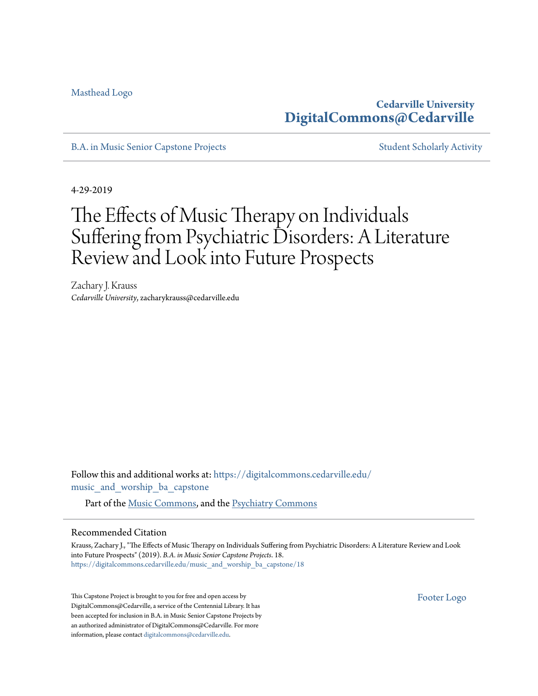[Masthead Logo](http://www.cedarville.edu/Academics/Music-and-Worship.aspx?utm_source=digitalcommons.cedarville.edu%2Fmusic_and_worship_ba_capstone%2F18&utm_medium=PDF&utm_campaign=PDFCoverPages)

**Cedarville University [DigitalCommons@Cedarville](https://digitalcommons.cedarville.edu?utm_source=digitalcommons.cedarville.edu%2Fmusic_and_worship_ba_capstone%2F18&utm_medium=PDF&utm_campaign=PDFCoverPages)**

[B.A. in Music Senior Capstone Projects](https://digitalcommons.cedarville.edu/music_and_worship_ba_capstone?utm_source=digitalcommons.cedarville.edu%2Fmusic_and_worship_ba_capstone%2F18&utm_medium=PDF&utm_campaign=PDFCoverPages) [Student Scholarly Activity](https://digitalcommons.cedarville.edu/music_student_scholarly_activity?utm_source=digitalcommons.cedarville.edu%2Fmusic_and_worship_ba_capstone%2F18&utm_medium=PDF&utm_campaign=PDFCoverPages)

4-29-2019

## The Effects of Music Therapy on Individuals Suffering from Psychiatric Disorders: A Literature Review and Look into Future Prospects

Zachary J. Krauss *Cedarville University*, zacharykrauss@cedarville.edu

Follow this and additional works at: [https://digitalcommons.cedarville.edu/](https://digitalcommons.cedarville.edu/music_and_worship_ba_capstone?utm_source=digitalcommons.cedarville.edu%2Fmusic_and_worship_ba_capstone%2F18&utm_medium=PDF&utm_campaign=PDFCoverPages) [music\\_and\\_worship\\_ba\\_capstone](https://digitalcommons.cedarville.edu/music_and_worship_ba_capstone?utm_source=digitalcommons.cedarville.edu%2Fmusic_and_worship_ba_capstone%2F18&utm_medium=PDF&utm_campaign=PDFCoverPages)

Part of the [Music Commons](http://network.bepress.com/hgg/discipline/518?utm_source=digitalcommons.cedarville.edu%2Fmusic_and_worship_ba_capstone%2F18&utm_medium=PDF&utm_campaign=PDFCoverPages), and the [Psychiatry Commons](http://network.bepress.com/hgg/discipline/704?utm_source=digitalcommons.cedarville.edu%2Fmusic_and_worship_ba_capstone%2F18&utm_medium=PDF&utm_campaign=PDFCoverPages)

## Recommended Citation

Krauss, Zachary J., "The Effects of Music Therapy on Individuals Suffering from Psychiatric Disorders: A Literature Review and Look into Future Prospects" (2019). *B.A. in Music Senior Capstone Projects*. 18. [https://digitalcommons.cedarville.edu/music\\_and\\_worship\\_ba\\_capstone/18](https://digitalcommons.cedarville.edu/music_and_worship_ba_capstone/18?utm_source=digitalcommons.cedarville.edu%2Fmusic_and_worship_ba_capstone%2F18&utm_medium=PDF&utm_campaign=PDFCoverPages)

This Capstone Project is brought to you for free and open access by DigitalCommons@Cedarville, a service of the Centennial Library. It has been accepted for inclusion in B.A. in Music Senior Capstone Projects by an authorized administrator of DigitalCommons@Cedarville. For more information, please contact [digitalcommons@cedarville.edu.](mailto:digitalcommons@cedarville.edu)

[Footer Logo](http://www.cedarville.edu/Academics/Library.aspx?utm_source=digitalcommons.cedarville.edu%2Fmusic_and_worship_ba_capstone%2F18&utm_medium=PDF&utm_campaign=PDFCoverPages)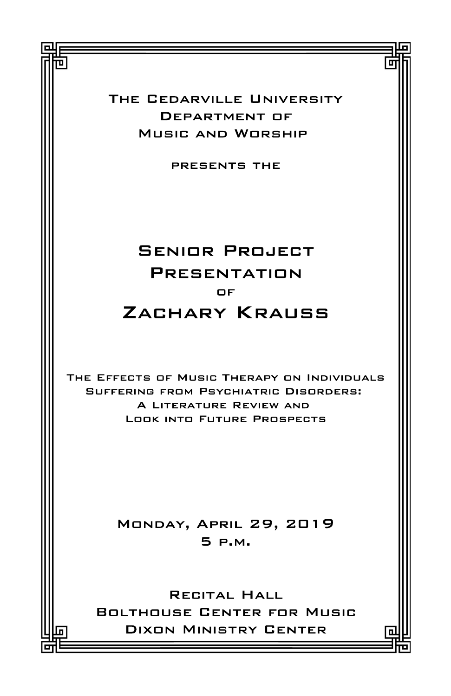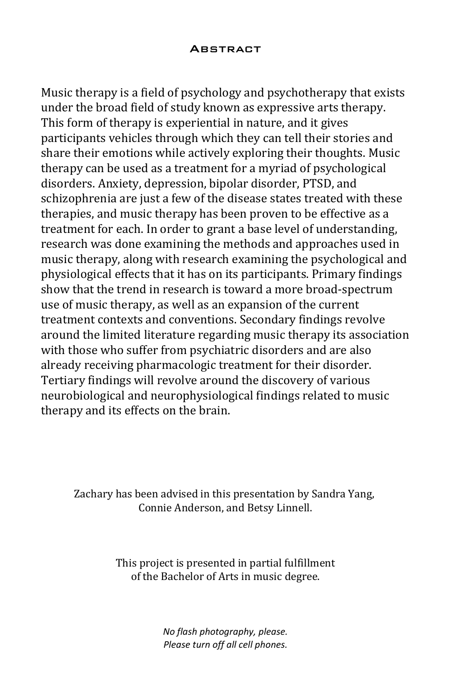## **ABSTRACT**

Music therapy is a field of psychology and psychotherapy that exists under the broad field of study known as expressive arts therapy. This form of therapy is experiential in nature, and it gives participants vehicles through which they can tell their stories and share their emotions while actively exploring their thoughts. Music therapy can be used as a treatment for a myriad of psychological disorders. Anxiety, depression, bipolar disorder, PTSD, and schizophrenia are just a few of the disease states treated with these therapies, and music therapy has been proven to be effective as a treatment for each. In order to grant a base level of understanding, research was done examining the methods and approaches used in music therapy, along with research examining the psychological and physiological effects that it has on its participants. Primary findings show that the trend in research is toward a more broad-spectrum use of music therapy, as well as an expansion of the current treatment contexts and conventions. Secondary findings revolve around the limited literature regarding music therapy its association with those who suffer from psychiatric disorders and are also already receiving pharmacologic treatment for their disorder. Tertiary findings will revolve around the discovery of various neurobiological and neurophysiological findings related to music therapy and its effects on the brain.

Zachary has been advised in this presentation by Sandra Yang, Connie Anderson, and Betsy Linnell.

> This project is presented in partial fulfillment of the Bachelor of Arts in music degree.

> > No flash photography, please. Please turn off all cell phones.